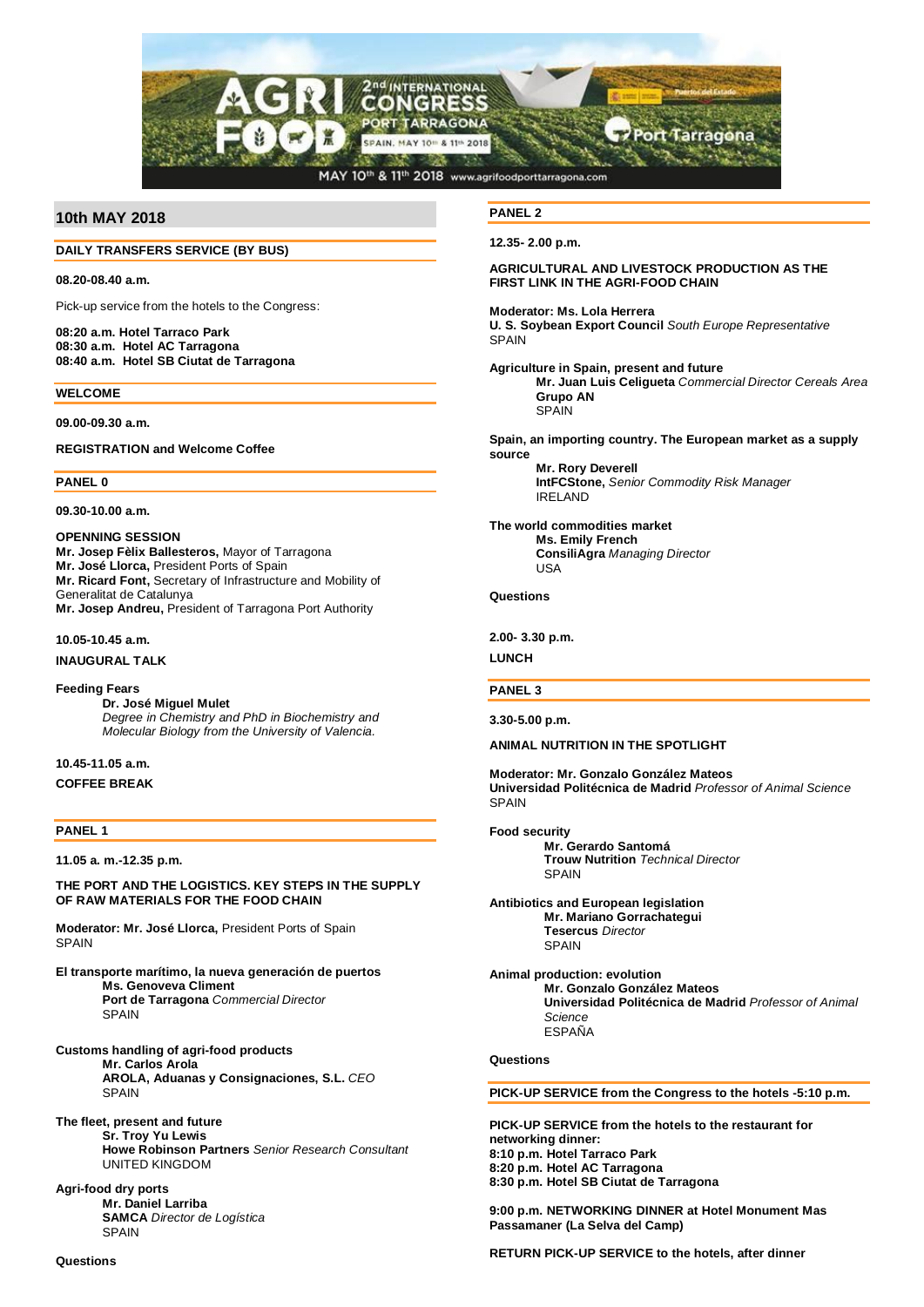

# **10th MAY 2018**

## **DAILY TRANSFERS SERVICE (BY BUS)**

**08.20-08.40 a.m.**

Pick-up service from the hotels to the Congress:

**08:20 a.m. Hotel Tarraco Park 08:30 a.m. Hotel AC Tarragona 08:40 a.m. Hotel SB Ciutat de Tarragona**

#### **WELCOME**

**09.00-09.30 a.m.**

**REGISTRATION and Welcome Coffee**

**PANEL 0**

**09.30-10.00 a.m.**

**OPENNING SESSION Mr. Josep Fèlix Ballesteros,** Mayor of Tarragona **Mr. José Llorca,** President Ports of Spain **Mr. Ricard Font,** Secretary of Infrastructure and Mobility of Generalitat de Catalunya **Mr. Josep Andreu,** President of Tarragona Port Authority

**10.05-10.45 a.m.**

**INAUGURAL TALK**

**Feeding Fears Dr. José Miguel Mulet** *Degree in Chemistry and PhD in Biochemistry and Molecular Biology from the University of Valencia.*

**10.45-11.05 a.m. COFFEE BREAK**

## **PANEL 1**

**11.05 a. m.-12.35 p.m.**

**THE PORT AND THE LOGISTICS. KEY STEPS IN THE SUPPLY OF RAW MATERIALS FOR THE FOOD CHAIN**

**Moderator: Mr. José Llorca,** President Ports of Spain **SPAIN** 

- **El transporte marítimo, la nueva generación de puertos Ms. Genoveva Climent Port de Tarragona** *Commercial Director* **SPAIN**
- **Customs handling of agri-food products Mr. Carlos Arola AROLA, Aduanas y Consignaciones, S.L.** *CEO* SPAIN

**The fleet, present and future Sr. Troy Yu Lewis Howe Robinson Partners** *Senior Research Consultant* UNITED KINGDOM

**Agri-food dry ports Mr. Daniel Larriba SAMCA** *Director de Logística* **SPAIN** 

**PANEL 2**

**12.35- 2.00 p.m.**

## **AGRICULTURAL AND LIVESTOCK PRODUCTION AS THE FIRST LINK IN THE AGRI-FOOD CHAIN**

**Moderator: Ms. Lola Herrera**

**U. S. Soybean Export Council** *South Europe Representative* **SPAIN** 

### **Agriculture in Spain, present and future**

**Mr. Juan Luis Celigueta** *Commercial Director Cereals Area* **Grupo AN SPAIN** 

**Spain, an importing country. The European market as a supply source**

**Mr. Rory Deverell IntFCStone,** *Senior Commodity Risk Manager* IRELAND

**The world commodities market Ms. Emily French ConsiliAgra** *Managing Director* USA

#### **Questions**

**2.00- 3.30 p.m.**

**LUNCH**

## **PANEL 3**

**3.30-5.00 p.m.**

**ANIMAL NUTRITION IN THE SPOTLIGHT**

**Moderator: Mr. Gonzalo González Mateos Universidad Politécnica de Madrid** *Professor of Animal Science* SPAIN

**Food security**

**Mr. Gerardo Santomá Trouw Nutrition** *Technical Director* **SPAIN** 

**Antibiotics and European legislation Mr. Mariano Gorrachategui Tesercus** *Director* **SPAIN** 

**Animal production: evolution Mr. Gonzalo González Mateos Universidad Politécnica de Madrid** *Professor of Animal Science* ESPAÑA

## **Questions**

**PICK-UP SERVICE from the Congress to the hotels -5:10 p.m.**

**PICK-UP SERVICE from the hotels to the restaurant for networking dinner: 8:10 p.m. Hotel Tarraco Park 8:20 p.m. Hotel AC Tarragona 8:30 p.m. Hotel SB Ciutat de Tarragona**

**9:00 p.m. NETWORKING DINNER at Hotel Monument Mas Passamaner (La Selva del Camp)**

**RETURN PICK-UP SERVICE to the hotels, after dinner**

**Questions**